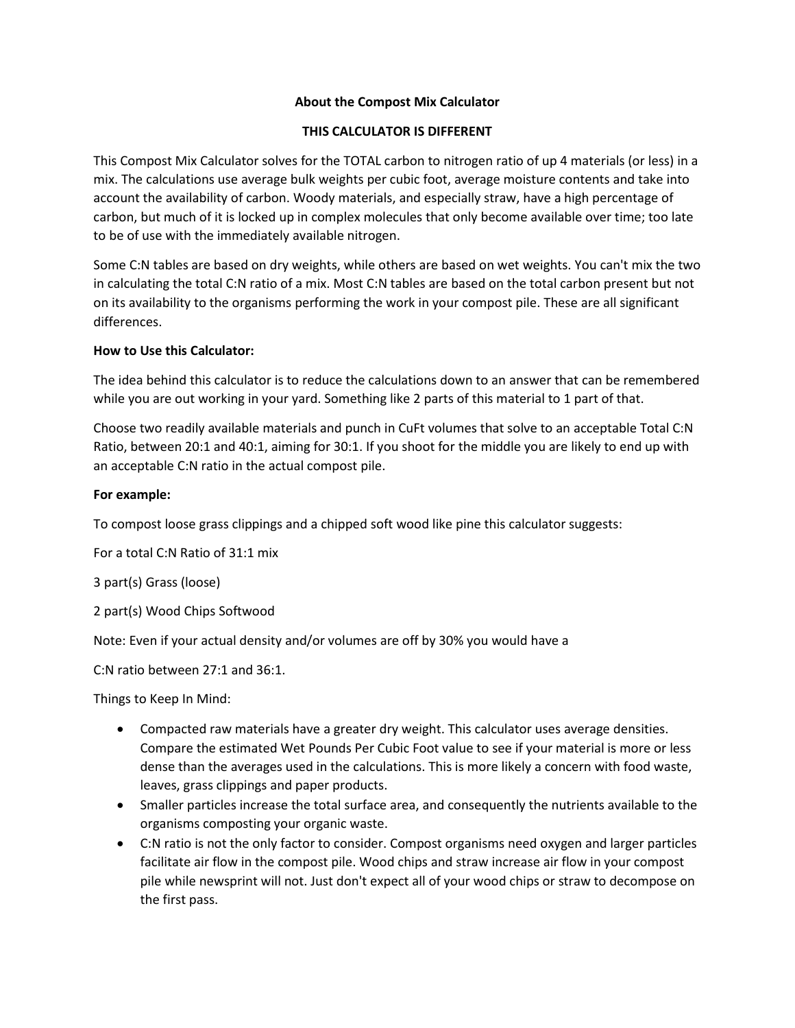#### **About the Compost Mix Calculator**

#### **THIS CALCULATOR IS DIFFERENT**

This Compost Mix Calculator solves for the TOTAL carbon to nitrogen ratio of up 4 materials (or less) in a mix. The calculations use average bulk weights per cubic foot, average moisture contents and take into account the availability of carbon. Woody materials, and especially straw, have a high percentage of carbon, but much of it is locked up in complex molecules that only become available over time; too late to be of use with the immediately available nitrogen.

Some C:N tables are based on dry weights, while others are based on wet weights. You can't mix the two in calculating the total C:N ratio of a mix. Most C:N tables are based on the total carbon present but not on its availability to the organisms performing the work in your compost pile. These are all significant differences.

## **How to Use this Calculator:**

The idea behind this calculator is to reduce the calculations down to an answer that can be remembered while you are out working in your yard. Something like 2 parts of this material to 1 part of that.

Choose two readily available materials and punch in CuFt volumes that solve to an acceptable Total C:N Ratio, between 20:1 and 40:1, aiming for 30:1. If you shoot for the middle you are likely to end up with an acceptable C:N ratio in the actual compost pile.

## **For example:**

To compost loose grass clippings and a chipped soft wood like pine this calculator suggests:

For a total C:N Ratio of 31:1 mix

3 part(s) Grass (loose)

2 part(s) Wood Chips Softwood

Note: Even if your actual density and/or volumes are off by 30% you would have a

C:N ratio between 27:1 and 36:1.

Things to Keep In Mind:

- Compacted raw materials have a greater dry weight. This calculator uses average densities. Compare the estimated Wet Pounds Per Cubic Foot value to see if your material is more or less dense than the averages used in the calculations. This is more likely a concern with food waste, leaves, grass clippings and paper products.
- Smaller particles increase the total surface area, and consequently the nutrients available to the organisms composting your organic waste.
- C:N ratio is not the only factor to consider. Compost organisms need oxygen and larger particles facilitate air flow in the compost pile. Wood chips and straw increase air flow in your compost pile while newsprint will not. Just don't expect all of your wood chips or straw to decompose on the first pass.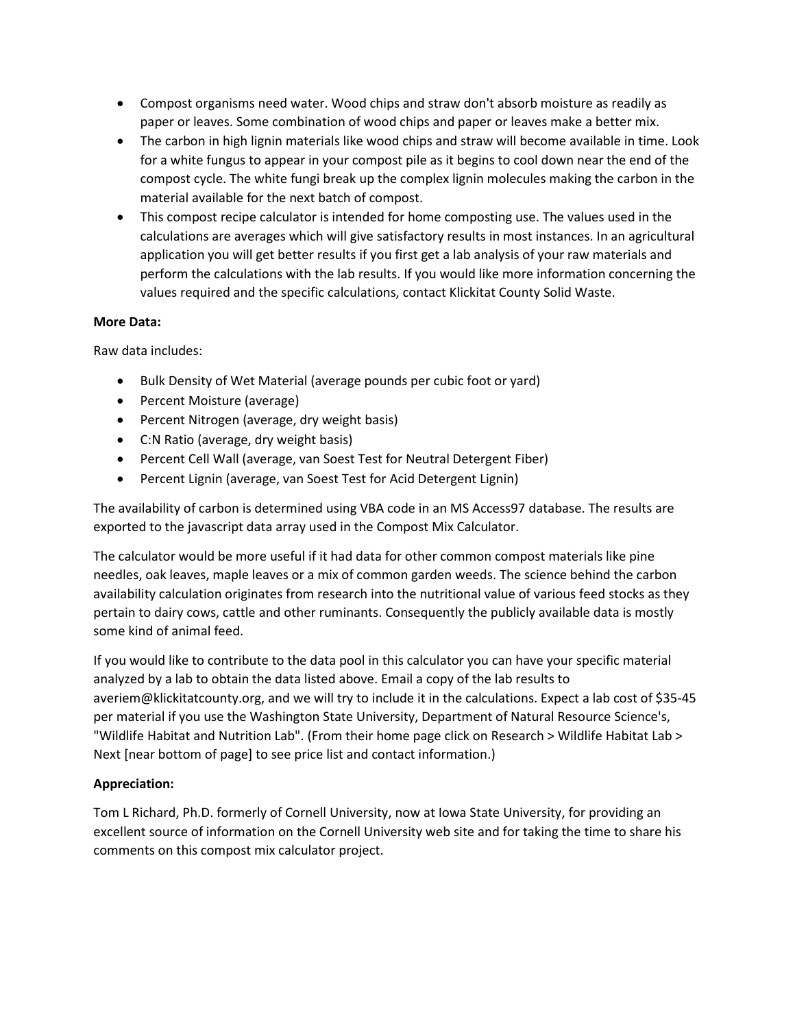- Compost organisms need water. Wood chips and straw don't absorb moisture as readily as paper or leaves. Some combination of wood chips and paper or leaves make a better mix.
- The carbon in high lignin materials like wood chips and straw will become available in time. Look for a white fungus to appear in your compost pile as it begins to cool down near the end of the compost cycle. The white fungi break up the complex lignin molecules making the carbon in the material available for the next batch of compost.
- This compost recipe calculator is intended for home composting use. The values used in the calculations are averages which will give satisfactory results in most instances. In an agricultural application you will get better results if you first get a lab analysis of your raw materials and perform the calculations with the lab results. If you would like more information concerning the values required and the specific calculations, contact Klickitat County Solid Waste.

## **More Data:**

Raw data includes:

- Bulk Density of Wet Material (average pounds per cubic foot or yard)
- Percent Moisture (average)
- Percent Nitrogen (average, dry weight basis)
- C:N Ratio (average, dry weight basis)
- Percent Cell Wall (average, van Soest Test for Neutral Detergent Fiber)
- Percent Lignin (average, van Soest Test for Acid Detergent Lignin)

The availability of carbon is determined using VBA code in an MS Access97 database. The results are exported to the javascript data array used in the Compost Mix Calculator.

The calculator would be more useful if it had data for other common compost materials like pine needles, oak leaves, maple leaves or a mix of common garden weeds. The science behind the carbon availability calculation originates from research into the nutritional value of various feed stocks as they pertain to dairy cows, cattle and other ruminants. Consequently the publicly available data is mostly some kind of animal feed.

If you would like to contribute to the data pool in this calculator you can have your specific material analyzed by a lab to obtain the data listed above. Email a copy of the lab results to averiem@klickitatcounty.org, and we will try to include it in the calculations. Expect a lab cost of \$35-45 per material if you use the Washington State University, Department of Natural Resource Science's, "Wildlife Habitat and Nutrition Lab". (From their home page click on Research > Wildlife Habitat Lab > Next [near bottom of page] to see price list and contact information.)

# **Appreciation:**

Tom L Richard, Ph.D. formerly of Cornell University, now at Iowa State University, for providing an excellent source of information on the Cornell University web site and for taking the time to share his comments on this compost mix calculator project.